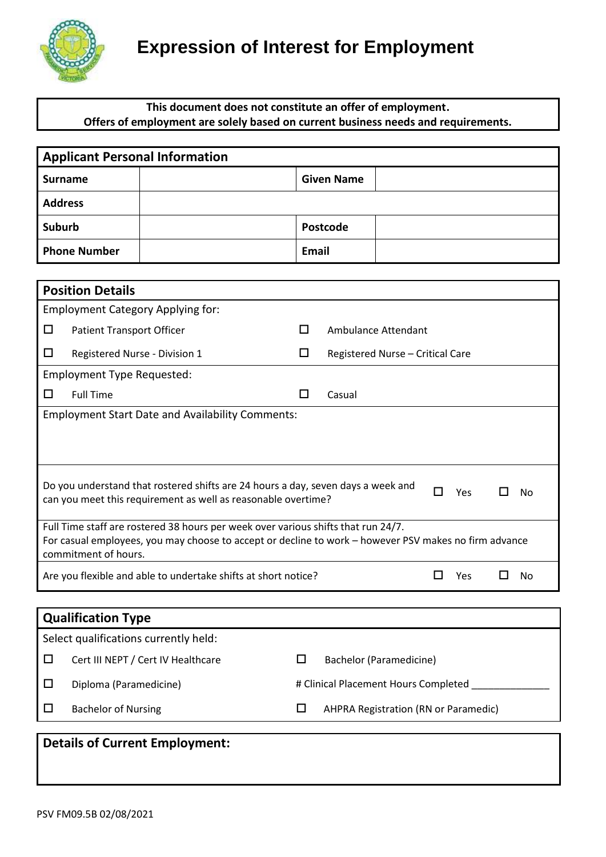

### **This document does not constitute an offer of employment. Offers of employment are solely based on current business needs and requirements.**

| <b>Applicant Personal Information</b>                                                                 |                                                                             |                   |                                      |     |   |           |  |  |
|-------------------------------------------------------------------------------------------------------|-----------------------------------------------------------------------------|-------------------|--------------------------------------|-----|---|-----------|--|--|
| <b>Surname</b>                                                                                        |                                                                             | <b>Given Name</b> |                                      |     |   |           |  |  |
| <b>Address</b>                                                                                        |                                                                             |                   |                                      |     |   |           |  |  |
| <b>Suburb</b>                                                                                         |                                                                             | <b>Postcode</b>   |                                      |     |   |           |  |  |
| <b>Phone Number</b>                                                                                   | Email                                                                       |                   |                                      |     |   |           |  |  |
|                                                                                                       |                                                                             |                   |                                      |     |   |           |  |  |
| <b>Position Details</b>                                                                               |                                                                             |                   |                                      |     |   |           |  |  |
| <b>Employment Category Applying for:</b>                                                              |                                                                             |                   |                                      |     |   |           |  |  |
| ◻<br><b>Patient Transport Officer</b>                                                                 | $\mathsf{L}$                                                                |                   | Ambulance Attendant                  |     |   |           |  |  |
| □<br>Registered Nurse - Division 1                                                                    | □                                                                           |                   | Registered Nurse - Critical Care     |     |   |           |  |  |
| Employment Type Requested:                                                                            |                                                                             |                   |                                      |     |   |           |  |  |
| <b>Full Time</b><br>□                                                                                 | ப                                                                           | Casual            |                                      |     |   |           |  |  |
| <b>Employment Start Date and Availability Comments:</b>                                               |                                                                             |                   |                                      |     |   |           |  |  |
|                                                                                                       |                                                                             |                   |                                      |     |   |           |  |  |
|                                                                                                       |                                                                             |                   |                                      |     |   |           |  |  |
| Do you understand that rostered shifts are 24 hours a day, seven days a week and                      |                                                                             |                   |                                      |     |   |           |  |  |
| can you meet this requirement as well as reasonable overtime?                                         |                                                                             |                   | П                                    | Yes | H | <b>No</b> |  |  |
| Full Time staff are rostered 38 hours per week over various shifts that run 24/7.                     |                                                                             |                   |                                      |     |   |           |  |  |
| For casual employees, you may choose to accept or decline to work - however PSV makes no firm advance |                                                                             |                   |                                      |     |   |           |  |  |
| commitment of hours.                                                                                  |                                                                             |                   |                                      |     |   |           |  |  |
|                                                                                                       | Are you flexible and able to undertake shifts at short notice?<br>Yes<br>No |                   |                                      |     |   |           |  |  |
|                                                                                                       |                                                                             |                   |                                      |     |   |           |  |  |
| <b>Qualification Type</b>                                                                             |                                                                             |                   |                                      |     |   |           |  |  |
| Select qualifications currently held:                                                                 |                                                                             |                   |                                      |     |   |           |  |  |
| Cert III NEPT / Cert IV Healthcare<br>□                                                               | □                                                                           |                   | <b>Bachelor (Paramedicine)</b>       |     |   |           |  |  |
| Diploma (Paramedicine)<br>□                                                                           |                                                                             |                   | # Clinical Placement Hours Completed |     |   |           |  |  |

 $\square$  Bachelor of Nursing  $\square$  AHPRA Registration (RN or Paramedic)

# **Details of Current Employment:**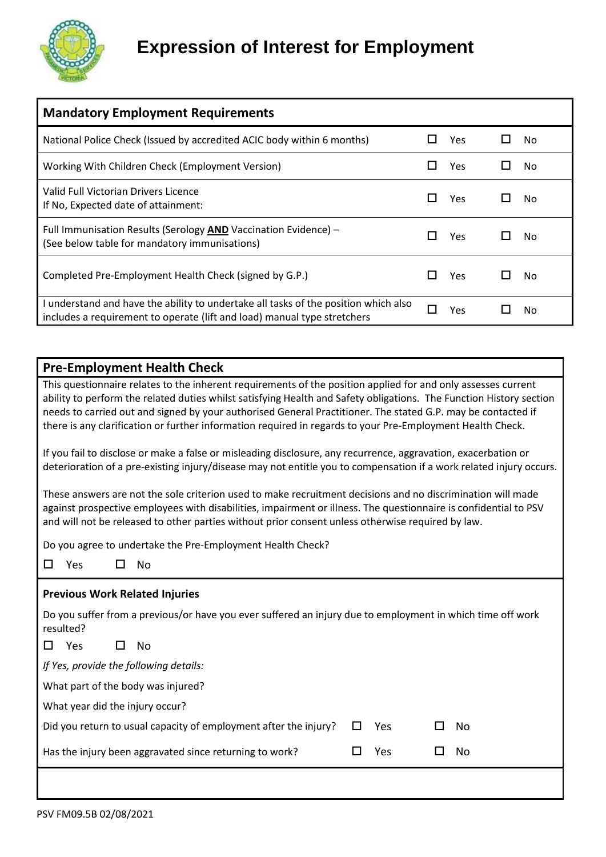

| <b>Mandatory Employment Requirements</b>                                                                                                                        |     |    |
|-----------------------------------------------------------------------------------------------------------------------------------------------------------------|-----|----|
| National Police Check (Issued by accredited ACIC body within 6 months)                                                                                          | Yes | No |
| Working With Children Check (Employment Version)                                                                                                                | Yes | No |
| Valid Full Victorian Drivers Licence<br>If No, Expected date of attainment:                                                                                     | Yes | No |
| Full Immunisation Results (Serology AND Vaccination Evidence) -<br>(See below table for mandatory immunisations)                                                | Yes | No |
| Completed Pre-Employment Health Check (signed by G.P.)                                                                                                          | Yes | No |
| I understand and have the ability to undertake all tasks of the position which also<br>includes a requirement to operate (lift and load) manual type stretchers | Υρς | No |

## **Pre-Employment Health Check**

This questionnaire relates to the inherent requirements of the position applied for and only assesses current ability to perform the related duties whilst satisfying Health and Safety obligations. The Function History section needs to carried out and signed by your authorised General Practitioner. The stated G.P. may be contacted if there is any clarification or further information required in regards to your Pre-Employment Health Check.

If you fail to disclose or make a false or misleading disclosure, any recurrence, aggravation, exacerbation or deterioration of a pre-existing injury/disease may not entitle you to compensation if a work related injury occurs.

These answers are not the sole criterion used to make recruitment decisions and no discrimination will made against prospective employees with disabilities, impairment or illness. The questionnaire is confidential to PSV and will not be released to other parties without prior consent unless otherwise required by law.

Do you agree to undertake the Pre-Employment Health Check?

| Yes | No |
|-----|----|
|     |    |

#### **Previous Work Related Injuries**

Do you suffer from a previous/or have you ever suffered an injury due to employment in which time off work resulted?

| Yes | No |
|-----|----|
|-----|----|

*If Yes, provide the following details:*

What part of the body was injured?

What year did the injury occur?

| Did you return to usual capacity of employment after the injury? $\Box$ Yes |  |   |  |  |  |  |  | $\square$ No |  |  |  |  |  |  |  |
|-----------------------------------------------------------------------------|--|---|--|--|--|--|--|--------------|--|--|--|--|--|--|--|
|                                                                             |  | . |  |  |  |  |  |              |  |  |  |  |  |  |  |

| Has the injury been aggravated since returning to work? | $\Box$ Yes | $\square$ No |  |
|---------------------------------------------------------|------------|--------------|--|
|                                                         |            |              |  |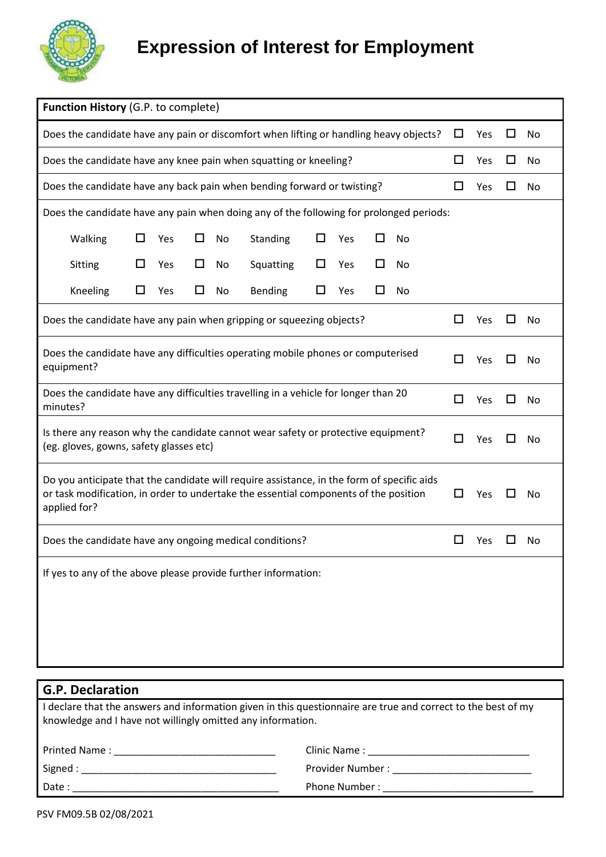

|                                                                                                                                                                                                                      | Function History (G.P. to complete)                                                  |     |   |    |                |   |     |     |    |    |     |    |    |
|----------------------------------------------------------------------------------------------------------------------------------------------------------------------------------------------------------------------|--------------------------------------------------------------------------------------|-----|---|----|----------------|---|-----|-----|----|----|-----|----|----|
| Does the candidate have any pain or discomfort when lifting or handling heavy objects?                                                                                                                               |                                                                                      |     |   |    |                |   |     |     |    | □  | Yes | ΙI | No |
| Does the candidate have any knee pain when squatting or kneeling?                                                                                                                                                    |                                                                                      |     |   |    |                |   |     |     |    | ப  | Yes | ப  | No |
| Does the candidate have any back pain when bending forward or twisting?                                                                                                                                              |                                                                                      |     |   |    |                |   |     |     |    | ப  | Yes |    | No |
| Does the candidate have any pain when doing any of the following for prolonged periods:                                                                                                                              |                                                                                      |     |   |    |                |   |     |     |    |    |     |    |    |
| Walking                                                                                                                                                                                                              | ப                                                                                    | Yes | □ | No | Standing       | ◻ | Yes | ΙI  | No |    |     |    |    |
| Sitting                                                                                                                                                                                                              | □                                                                                    | Yes | □ | No | Squatting      | ◻ | Yes | □   | No |    |     |    |    |
| Kneeling                                                                                                                                                                                                             | □                                                                                    | Yes | ப | No | <b>Bending</b> | □ | Yes | □   | No |    |     |    |    |
| Does the candidate have any pain when gripping or squeezing objects?                                                                                                                                                 |                                                                                      |     |   |    |                |   |     |     |    | ப  | Yes |    | No |
| Does the candidate have any difficulties operating mobile phones or computerised<br>equipment?                                                                                                                       |                                                                                      |     |   |    |                |   | □   | Yes |    | No |     |    |    |
| Does the candidate have any difficulties travelling in a vehicle for longer than 20<br>minutes?                                                                                                                      |                                                                                      |     |   |    |                |   |     |     |    | П  | Yes |    | No |
| Is there any reason why the candidate cannot wear safety or protective equipment?<br>(eg. gloves, gowns, safety glasses etc)                                                                                         |                                                                                      |     |   |    |                |   | П   | Yes |    | No |     |    |    |
| Do you anticipate that the candidate will require assistance, in the form of specific aids<br>or task modification, in order to undertake the essential components of the position<br>ப<br>Yes<br>No<br>applied for? |                                                                                      |     |   |    |                |   |     |     |    |    |     |    |    |
|                                                                                                                                                                                                                      | Does the candidate have any ongoing medical conditions?<br>$\mathsf{L}$<br>Yes<br>No |     |   |    |                |   |     |     |    |    |     |    |    |
| If yes to any of the above please provide further information:                                                                                                                                                       |                                                                                      |     |   |    |                |   |     |     |    |    |     |    |    |
|                                                                                                                                                                                                                      |                                                                                      |     |   |    |                |   |     |     |    |    |     |    |    |
|                                                                                                                                                                                                                      |                                                                                      |     |   |    |                |   |     |     |    |    |     |    |    |
|                                                                                                                                                                                                                      |                                                                                      |     |   |    |                |   |     |     |    |    |     |    |    |

| <b>G.P. Declaration</b>                                                                                                                                                                                                        |                                                                                                                 |  |  |  |  |
|--------------------------------------------------------------------------------------------------------------------------------------------------------------------------------------------------------------------------------|-----------------------------------------------------------------------------------------------------------------|--|--|--|--|
| I declare that the answers and information given in this questionnaire are true and correct to the best of my<br>knowledge and I have not willingly omitted any information.                                                   |                                                                                                                 |  |  |  |  |
|                                                                                                                                                                                                                                | Clinic Name: 2008 - 2008 - 2010 - 2010 - 2010 - 2010 - 2011 - 2012 - 2014 - 2016 - 2016 - 2017 - 2018 - 2019 -  |  |  |  |  |
| Signed : New York Signed : New York Signed : New York Signed : New York Signed : New York Signed : New York Signed : New York Signed : New York Signed : New York Signed : New York Signed : New York Signed : New York Signed | Provider Number: The Contract of the Contract of the Contract of the Contract of the Contract of the Contract o |  |  |  |  |
|                                                                                                                                                                                                                                |                                                                                                                 |  |  |  |  |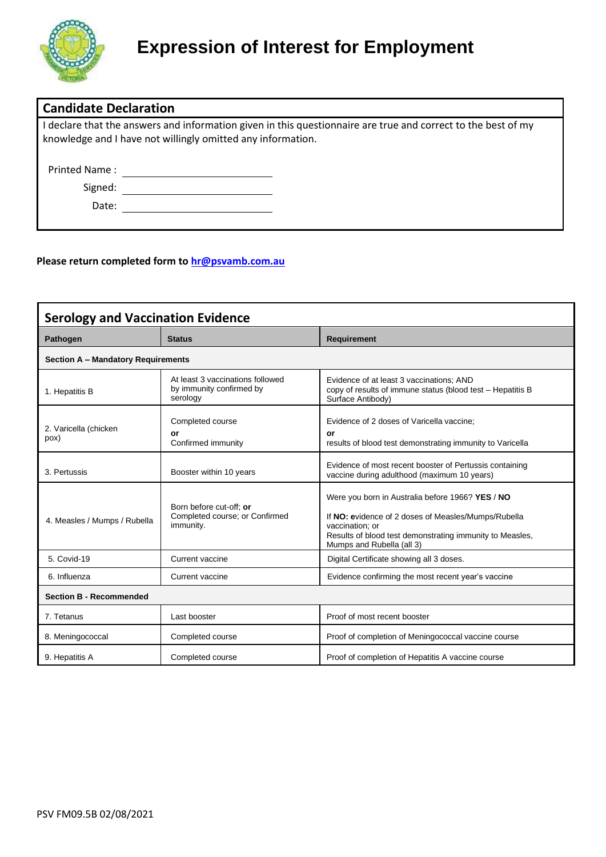

| <b>Candidate Declaration</b> |                                                                                                                                                                              |
|------------------------------|------------------------------------------------------------------------------------------------------------------------------------------------------------------------------|
|                              | I declare that the answers and information given in this questionnaire are true and correct to the best of my<br>knowledge and I have not willingly omitted any information. |
| Printed Name:                |                                                                                                                                                                              |
| Signed:                      |                                                                                                                                                                              |
| Date:                        |                                                                                                                                                                              |

#### **Please return completed form t[o hr@psvamb.com.au](mailto:hr@psvamb.com.au?subject=Expression%20of%20Interest%20for%20Employment)**

| <b>Serology and Vaccination Evidence</b>  |                                                                          |                                                                                                                                                                                                                     |  |  |  |  |  |
|-------------------------------------------|--------------------------------------------------------------------------|---------------------------------------------------------------------------------------------------------------------------------------------------------------------------------------------------------------------|--|--|--|--|--|
| Pathogen                                  | <b>Status</b>                                                            | <b>Requirement</b>                                                                                                                                                                                                  |  |  |  |  |  |
| <b>Section A - Mandatory Requirements</b> |                                                                          |                                                                                                                                                                                                                     |  |  |  |  |  |
| 1. Hepatitis B                            | At least 3 vaccinations followed<br>by immunity confirmed by<br>serology | Evidence of at least 3 vaccinations; AND<br>copy of results of immune status (blood test - Hepatitis B<br>Surface Antibody)                                                                                         |  |  |  |  |  |
| 2. Varicella (chicken<br>pox)             | Completed course<br>or<br>Confirmed immunity                             | Evidence of 2 doses of Varicella vaccine;<br>or<br>results of blood test demonstrating immunity to Varicella                                                                                                        |  |  |  |  |  |
| 3. Pertussis                              | Booster within 10 years                                                  | Evidence of most recent booster of Pertussis containing<br>vaccine during adulthood (maximum 10 years)                                                                                                              |  |  |  |  |  |
| 4. Measles / Mumps / Rubella              | Born before cut-off: or<br>Completed course; or Confirmed<br>immunity.   | Were you born in Australia before 1966? YES / NO<br>If NO: evidence of 2 doses of Measles/Mumps/Rubella<br>vaccination; or<br>Results of blood test demonstrating immunity to Measles,<br>Mumps and Rubella (all 3) |  |  |  |  |  |
| 5. Covid-19                               | Current vaccine                                                          | Digital Certificate showing all 3 doses.                                                                                                                                                                            |  |  |  |  |  |
| 6. Influenza                              | Current vaccine                                                          | Evidence confirming the most recent year's vaccine                                                                                                                                                                  |  |  |  |  |  |
| <b>Section B - Recommended</b>            |                                                                          |                                                                                                                                                                                                                     |  |  |  |  |  |
| 7. Tetanus                                | Last booster                                                             | Proof of most recent booster                                                                                                                                                                                        |  |  |  |  |  |
| 8. Meningococcal                          | Completed course                                                         | Proof of completion of Meningococcal vaccine course                                                                                                                                                                 |  |  |  |  |  |
| 9. Hepatitis A                            | Completed course                                                         | Proof of completion of Hepatitis A vaccine course                                                                                                                                                                   |  |  |  |  |  |